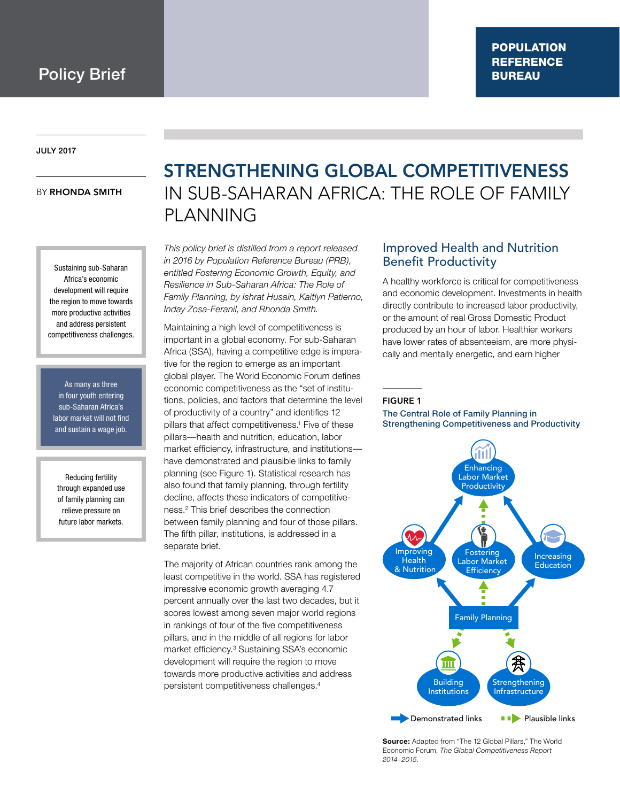#### July 2017

#### **BY RHONDA SMITH**

Sustaining sub-Saharan Africa's economic development will require the region to move towards more productive activities and address persistent competitiveness challenges.

As many as three in four youth entering sub-Saharan Africa's labor market will not find and sustain a wage job.

Reducing fertility through expanded use of family planning can relieve pressure on future labor markets.

## Strengthening Global Competitiveness in Sub-Saharan Africa: The Role of Family **PLANNING**

*This policy brief is distilled from a report released in 2016 by Population Reference Bureau (PRB), entitled Fostering Economic Growth, Equity, and Resilience in Sub-Saharan Africa: The Role of Family Planning, by Ishrat Husain, Kaitlyn Patierno, Inday Zosa-Feranil, and Rhonda Smith.*

Maintaining a high level of competitiveness is important in a global economy. For sub-Saharan Africa (SSA), having a competitive edge is imperative for the region to emerge as an important global player. The World Economic Forum defines economic competitiveness as the "set of institutions, policies, and factors that determine the level of productivity of a country" and identifies 12 pillars that affect competitiveness.<sup>1</sup> Five of these pillars—health and nutrition, education, labor market efficiency, infrastructure, and institutions have demonstrated and plausible links to family planning (see Figure 1). Statistical research has also found that family planning, through fertility decline, affects these indicators of competitiveness.2 This brief describes the connection between family planning and four of those pillars. The fifth pillar, institutions, is addressed in a separate brief.

The majority of African countries rank among the least competitive in the world. SSA has registered impressive economic growth averaging 4.7 percent annually over the last two decades, but it scores lowest among seven major world regions in rankings of four of the five competitiveness pillars, and in the middle of all regions for labor market efficiency.3 Sustaining SSA's economic development will require the region to move towards more productive activities and address persistent competitiveness challenges.4

## Improved Health and Nutrition Benefit Productivity

A healthy workforce is critical for competitiveness and economic development. Investments in health directly contribute to increased labor productivity, or the amount of real Gross Domestic Product produced by an hour of labor. Healthier workers have lower rates of absenteeism, are more physically and mentally energetic, and earn higher

#### **FIGURE 1**

#### The Central Role of Family Planning in Strengthening Competitiveness and Productivity



**Source:** Adapted from "The 12 Global Pillars," The World Economic Forum, *The Global Competitiveness Report 2014–2015*.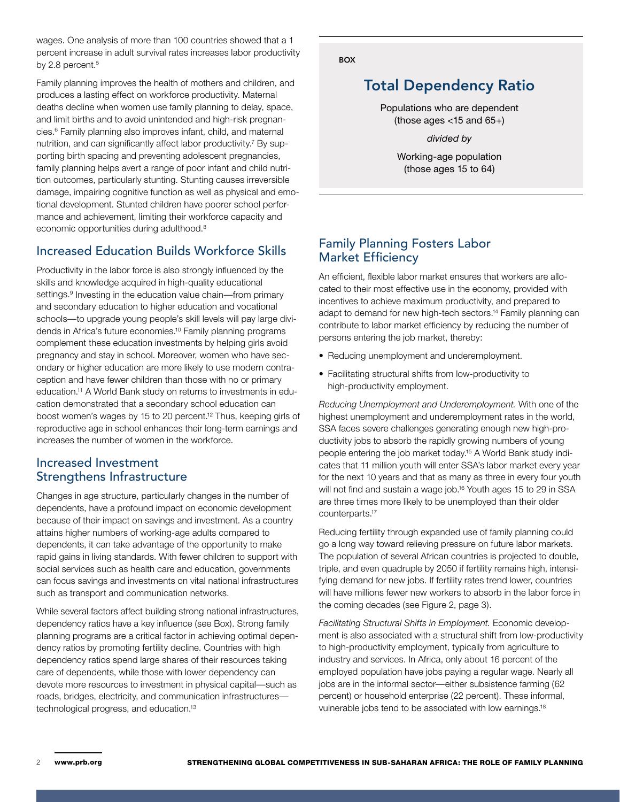wages. One analysis of more than 100 countries showed that a 1 percent increase in adult survival rates increases labor productivity by 2.8 percent.<sup>5</sup>

Family planning improves the health of mothers and children, and produces a lasting effect on workforce productivity. Maternal deaths decline when women use family planning to delay, space, and limit births and to avoid unintended and high-risk pregnancies.6 Family planning also improves infant, child, and maternal nutrition, and can significantly affect labor productivity.<sup>7</sup> By supporting birth spacing and preventing adolescent pregnancies, family planning helps avert a range of poor infant and child nutrition outcomes, particularly stunting. Stunting causes irreversible damage, impairing cognitive function as well as physical and emotional development. Stunted children have poorer school performance and achievement, limiting their workforce capacity and economic opportunities during adulthood.8

## Increased Education Builds Workforce Skills

Productivity in the labor force is also strongly influenced by the skills and knowledge acquired in high-quality educational settings.<sup>9</sup> Investing in the education value chain—from primary and secondary education to higher education and vocational schools—to upgrade young people's skill levels will pay large dividends in Africa's future economies.10 Family planning programs complement these education investments by helping girls avoid pregnancy and stay in school. Moreover, women who have secondary or higher education are more likely to use modern contraception and have fewer children than those with no or primary education.11 A World Bank study on returns to investments in education demonstrated that a secondary school education can boost women's wages by 15 to 20 percent.12 Thus, keeping girls of reproductive age in school enhances their long-term earnings and increases the number of women in the workforce.

## Increased Investment Strengthens Infrastructure

Changes in age structure, particularly changes in the number of dependents, have a profound impact on economic development because of their impact on savings and investment. As a country attains higher numbers of working-age adults compared to dependents, it can take advantage of the opportunity to make rapid gains in living standards. With fewer children to support with social services such as health care and education, governments can focus savings and investments on vital national infrastructures such as transport and communication networks.

While several factors affect building strong national infrastructures, dependency ratios have a key influence (see Box). Strong family planning programs are a critical factor in achieving optimal dependency ratios by promoting fertility decline. Countries with high dependency ratios spend large shares of their resources taking care of dependents, while those with lower dependency can devote more resources to investment in physical capital—such as roads, bridges, electricity, and communication infrastructures technological progress, and education.13

**BOX** 

## Total Dependency Ratio

Populations who are dependent (those ages  $<$ 15 and 65+)

*divided by*

Working-age population (those ages 15 to 64)

## Family Planning Fosters Labor Market Efficiency

An efficient, flexible labor market ensures that workers are allocated to their most effective use in the economy, provided with incentives to achieve maximum productivity, and prepared to adapt to demand for new high-tech sectors.14 Family planning can contribute to labor market efficiency by reducing the number of persons entering the job market, thereby:

- Reducing unemployment and underemployment.
- Facilitating structural shifts from low-productivity to high-productivity employment.

*Reducing Unemployment and Underemployment.* With one of the highest unemployment and underemployment rates in the world, SSA faces severe challenges generating enough new high-productivity jobs to absorb the rapidly growing numbers of young people entering the job market today.15 A World Bank study indicates that 11 million youth will enter SSA's labor market every year for the next 10 years and that as many as three in every four youth will not find and sustain a wage job.16 Youth ages 15 to 29 in SSA are three times more likely to be unemployed than their older counterparts.17

Reducing fertility through expanded use of family planning could go a long way toward relieving pressure on future labor markets. The population of several African countries is projected to double, triple, and even quadruple by 2050 if fertility remains high, intensifying demand for new jobs. If fertility rates trend lower, countries will have millions fewer new workers to absorb in the labor force in the coming decades (see Figure 2, page 3).

*Facilitating Structural Shifts in Employment.* Economic development is also associated with a structural shift from low-productivity to high-productivity employment, typically from agriculture to industry and services. In Africa, only about 16 percent of the employed population have jobs paying a regular wage. Nearly all jobs are in the informal sector—either subsistence farming (62 percent) or household enterprise (22 percent). These informal, vulnerable jobs tend to be associated with low earnings.18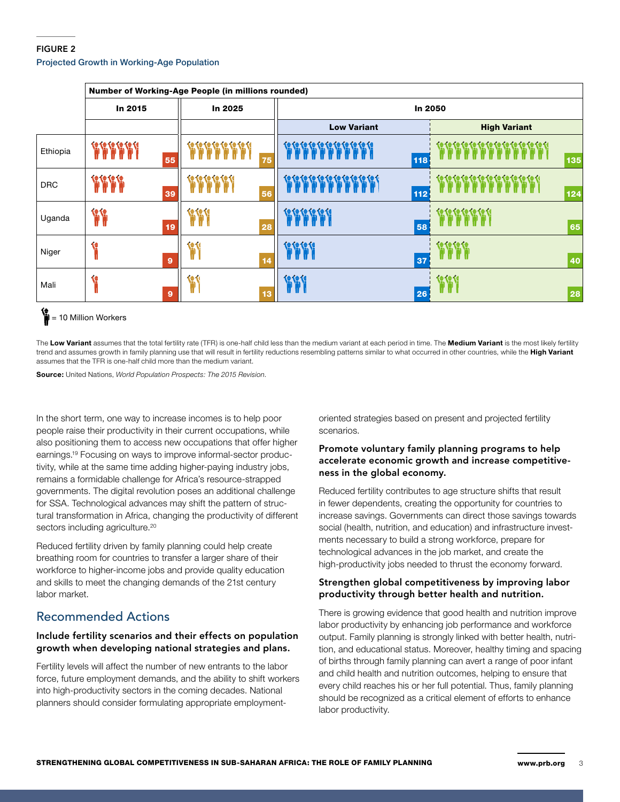### Figure 2 Projected Growth in Working-Age Population

|            | Number of Working-Age People (in millions rounded) |    |            |    |                           |                     |
|------------|----------------------------------------------------|----|------------|----|---------------------------|---------------------|
|            | In 2015                                            |    | In 2025    |    | In 2050                   |                     |
|            |                                                    |    |            |    | <b>Low Variant</b>        | <b>High Variant</b> |
| Ethiopia   | 2222                                               | 55 |            | 75 | <b>EEEEEEEEEEE</b><br>118 | 135                 |
| <b>DRC</b> |                                                    | 39 | ほぼぼぼぼい     | 56 | 112                       | 124                 |
| Uganda     | Ħ                                                  | 19 | <b>129</b> | 28 | 58                        | 65                  |
| Niger      |                                                    | 9  |            | 14 | 37                        | 40                  |
| Mali       | t                                                  | 9  |            | 13 | 26                        | 28                  |

## = 10 Million Workers

The **Low Variant** assumes that the total fertility rate (TFR) is one-half child less than the medium variant at each period in time. The **Medium Variant** is the most likely fertility trend and assumes growth in family planning use that will result in fertility reductions resembling patterns similar to what occurred in other countries, while the **High Variant** assumes that the TFR is one-half child more than the medium variant.

**Source:** United Nations, *World Population Prospects: The 2015 Revision*.

In the short term, one way to increase incomes is to help poor people raise their productivity in their current occupations, while also positioning them to access new occupations that offer higher earnings.19 Focusing on ways to improve informal-sector productivity, while at the same time adding higher-paying industry jobs, remains a formidable challenge for Africa's resource-strapped governments. The digital revolution poses an additional challenge for SSA. Technological advances may shift the pattern of structural transformation in Africa, changing the productivity of different sectors including agriculture.<sup>20</sup>

Reduced fertility driven by family planning could help create breathing room for countries to transfer a larger share of their workforce to higher-income jobs and provide quality education and skills to meet the changing demands of the 21st century labor market.

## Recommended Actions

#### Include fertility scenarios and their effects on population growth when developing national strategies and plans.

Fertility levels will affect the number of new entrants to the labor force, future employment demands, and the ability to shift workers into high-productivity sectors in the coming decades. National planners should consider formulating appropriate employmentoriented strategies based on present and projected fertility scenarios.

#### Promote voluntary family planning programs to help accelerate economic growth and increase competitiveness in the global economy.

Reduced fertility contributes to age structure shifts that result in fewer dependents, creating the opportunity for countries to increase savings. Governments can direct those savings towards social (health, nutrition, and education) and infrastructure investments necessary to build a strong workforce, prepare for technological advances in the job market, and create the high-productivity jobs needed to thrust the economy forward.

#### Strengthen global competitiveness by improving labor productivity through better health and nutrition.

There is growing evidence that good health and nutrition improve labor productivity by enhancing job performance and workforce output. Family planning is strongly linked with better health, nutrition, and educational status. Moreover, healthy timing and spacing of births through family planning can avert a range of poor infant and child health and nutrition outcomes, helping to ensure that every child reaches his or her full potential. Thus, family planning should be recognized as a critical element of efforts to enhance labor productivity.